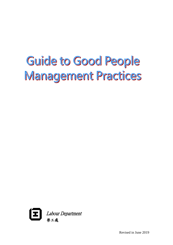# Guide to Good People Management Practices



Revised in June 2019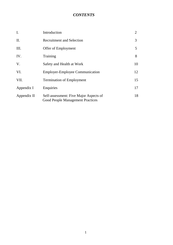# *CONTENTS*

| $\mathbf{I}$ . | Introduction                                                                      | 2  |
|----------------|-----------------------------------------------------------------------------------|----|
| II.            | <b>Recruitment and Selection</b>                                                  | 3  |
| Ш.             | Offer of Employment                                                               | 5  |
| IV.            | Training                                                                          | 8  |
| V.             | Safety and Health at Work                                                         | 10 |
| VI.            | <b>Employer-Employee Communication</b>                                            | 12 |
| VII.           | <b>Termination of Employment</b>                                                  | 15 |
| Appendix I     | Enquiries                                                                         | 17 |
| Appendix II    | Self-assessment: Five Major Aspects of<br><b>Good People Management Practices</b> | 18 |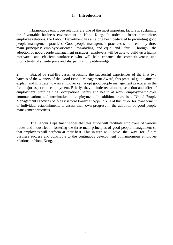## **I. Introduction**

Harmonious employee relations are one of the most important factors in sustaining the favourable business environment in Hong Kong. In order to foster harmonious employee relations, the Labour Department has all along been dedicated to promoting good people management practices. Good people management practices should embody three main principles: employee-oriented, law-abiding, and equal and fair. Through the adoption of good people management practices, employers will be able to build up a highly motivated and efficient workforce who will help enhance the competitiveness and productivity of an enterprise and sharpen its competitive edge.

2. Braced by real-life cases, especially the successful experiences of the first two batches of the winners of the Good People Management Award, this practical guide aims to explain and illustrate how an employer can adopt good people management practices in the five major aspects of employment. Briefly, they include recruitment, selection and offer of employment; staff training; occupational safety and health at work; employer-employee communication; and termination of employment. In addition, there is a "Good People Management Practices Self-Assessment Form" at Appendix II of this guide for management of individual establishments to assess their own progress in the adoption of good people management practices.

3. The Labour Department hopes that this guide will facilitate employers of various trades and industries in fostering the three main principles of good people management so that employees will perform at their best. This in turn will pave the way for future business success and contribute to the continuous development of harmonious employee relations in Hong Kong.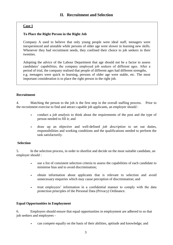#### **To Place the Right Person in the Right Job**

Company A used to believe that only young people were ideal staff, teenagers were inexperienced and unstable while persons of older age were slower in learning new skills. Whenever they had recruitment needs, they confined their choice to job seekers in their twenties.

Adopting the advice of the Labour Department that age should not be a factor to assess candidates' capabilities, the company employed job seekers of different ages. After a period of trial, the company realised that people of different ages had different strengths, e.g. teenagers were quick in learning, persons of older age were stable, etc. The most important consideration is to place the right person in the right job.

#### **Recruitment**

4. Matching the person to the job is the first step in the overall staffing process. Prior to the recruitment exercise to find and attract capable job applicants, an employer should :

- conduct a *job analysis* to think about the requirements of the post and the type of person needed to fill it; and
- draw up an objective and well-defined *job description* to set out duties, responsibilities and working conditions and the qualifications needed to perform the task satisfactorily.

#### **Selection**

5. In the selection process, in order to shortlist and decide on the most suitable candidate, an employer should :

- use a list of consistent selection criteria to assess the capabilities of each candidate to minimise bias and to avoid discrimination;
- obtain information about applicants that is relevant to selection and avoid unnecessary enquiries which may cause perception of discrimination; and
- treat employees' information in a confidential manner to comply with the data protection principles of the Personal Data (Privacy) Ordinance.

#### **Equal Opportunities in Employment**

6. Employers should ensure that equal opportunities in employment are adhered to so that job seekers and employees -

• can compete equally on the basis of their abilities, aptitude and knowledge; and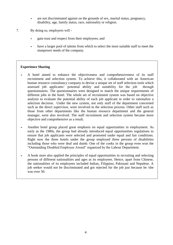- are not discriminated against on the grounds of sex, marital status, pregnancy, disability, age, family status, race, nationality or religion.
- 7. By doing so, employers will
	- gain trust and respect from their employees; and
	- have a larger pool of talents from which to select the most suitable staff to meet the manpower needs of the company.

- A hotel aimed to enhance the objectiveness and comprehensiveness of its staff recruitment and selection system. To achieve this, it collaborated with an American human resource consultancy company to devise a unique set of staff selection tools which assessed job applicants' potential ability and suitability for the job through questionnaires. The questionnaires were designed to match the unique requirements of different jobs in the hotel. The whole set of recruitment system was based on objective analysis to evaluate the potential ability of each job applicant in order to rationalize a selection decision. Under the new system, not only staff of the department concerned such as the direct supervisor, were involved in the selection process. Other staff such as those from other departments like the human resource department and the general manager, were also involved. The staff recruitment and selection system became more objective and comprehensive as a result.
- Another hotel group placed great emphasis on equal opportunities in employment. As early as the 1980s, the group had already introduced equal opportunities regulations to ensure that job applicants were selected and promoted under equal and fair conditions. Right now the three hotels under the group employed three persons of disabilities including those who were deaf and dumb. One of the cooks in the group even won the "Outstanding Disabled Employee Award" organized by the Labour Department.
- A book store also applied the principles of equal opportunities in recruiting and selecting persons of different nationalities and ages as its employees. Hence, apart from Chinese, the nationalities of its employees included Indian, Filippino, Pakistani and Nepalese. A job seeker would not be discriminated and got rejected for the job just because he /she was over 50.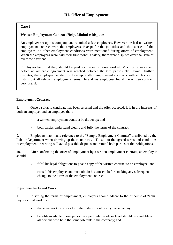## **Written Employment Contract Helps Minimise Disputes**

An employer set up his company and recruited a few employees. However, he had no written employment contract with the employees. Except for the job titles and the salaries of the employees, no other employment conditions were mentioned during offers of employment. When the employees were paid their first month's salary, there were disputes over the issue of overtime payment.

Employees held that they should be paid for the extra hours worked. Much time was spent before an amicable agreement was reached between the two parties. To avoid further disputes, the employer decided to draw up written employment contracts with all his staff, listing out all relevant employment terms. He and his employees found the written contract very useful.

#### **Employment Contract**

8. Once a suitable candidate has been selected and the offer accepted, it is in the interests of both an employer and an employee that :

- a written employment contract be drawn up; and
- both parties understand clearly and fully the terms of the contract.

9. Employers may make reference to the "Sample Employment Contract" distributed by the Labour Department when drawing up their contracts. To set out the agreed terms and conditions of employment in writing will avoid possible disputes and remind both parties of their obligations.

10. After confirming the offer of employment by a written employment contract, an employer should :

- fulfil his legal obligations to give a copy of the written contract to an employee; and
- consult his employee and must obtain his consent before making any subsequent change to the terms of the employment contract.

## **Equal Pay for Equal Work**

11. In setting the terms of employment, employers should adhere to the principle of "equal pay for equal work", i.e. :

- the same work or work of similar nature should carry the same pay;
- benefits available to one person in a particular grade or level should be available to all persons who hold the same job rank in the company; and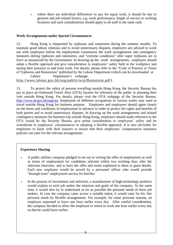where there are individual differences in pay for equal work, it should be due to genuine and job-related factors, e.g. work performance, length of service or working locations and such considerations should apply to all staff in the same rank.

#### **Work Arrangements under Special Circumstances**

12. Hong Kong is frequented by typhoons and rainstorms during the summer months. To maintain good labour relations and to avoid unnecessary disputes, employers are advised to work out with employees before the employment commences the work arrangements and contingency measures during typhoons and rainstorms, and "extreme conditions" after super typhoons are in force as announced by the Government. In drawing up the work arrangements, employers should adopt a flexible approach and give consideration to employees' safety both in the workplace and during their journeys to and from work. For details, please refer to the "Code of Practice in Times of Typhoons and Rainstorms" published by the Labour Department (which can be downloaded at

Labour Department's webpage: [http://www.labour.gov.hk/eng/public/wcp/Rainstorm.pdf\)](http://www.labour.gov.hk/eng/public/wcp/Rainstorm.pdf).

13. To protect the safety of persons travelling outside Hong Kong, the Security Bureau has put in place an Outbound Travel Alert (OTA) System for reference of the public in planning their visit outside Hong Kong. For details, please visit the OTA webpage of the Security Bureau: [http://www.sb.gov.hk/eng/ota.](http://www.sb.gov.hk/eng/ota) Employees of different occupations in various trades may need to travel outside Hong Kong for business purpose. Employers and employees should agree clearly on the terms and conditions of employment in advance in order to protect the rights and benefits of both parties and to avoid unnecessary disputes. In drawing up the work arrangements and related contingency measures for business trip outside Hong Kong, employers should make reference to the OTA issued by the Security Bureau, give prime consideration to employees' safety and be considerate to employees' circumstances in adopting a flexible approach. It is also advisable for employers to liaise with their insurers to ensure that their employees' compensation insurance policies can cater for the relevant arrangements.

- A public utilities company pledged to set out in writing the offer of employment as well as terms of employment for candidates selected within two working days after the selection interview, and to have the offer and terms explained to them in great details. Each new employee would be served by a personnel officer who would provide "through-train" employment service for him/her.
- In the process of recruitment and selection, a manufacturer of high-technology products would explain to each job seeker the missions and goals of the company. At the same time, it would also try to understand as far as possible the personal needs of these job seekers. In case the company came across a suitable talent, it would cater for his /her personal needs by flexible arrangements. For example, for some personal reasons, an employee requested to leave one hour earlier every day. After careful consideration, the company decided to allow the employee to return to work one hour earlier every day so that he could leave earlier.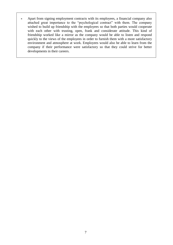• Apart from signing employment contracts with its employees, a financial company also attached great importance to the "psychological contract" with them. The company wished to build up friendship with the employees so that both parties would cooperate with each other with trusting, open, frank and considerate attitude. This kind of friendship worked like a mirror as the company would be able to listen and respond quickly to the views of the employees in order to furnish them with a more satisfactory environment and atmosphere at work. Employees would also be able to learn from the company if their performance were satisfactory so that they could strive for better developments in their careers.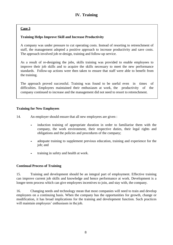## **Training Helps Improve Skill and Increase Productivity**

A company was under pressure to cut operating costs. Instead of resorting to retrenchment of staff, the management adopted a positive approach to increase productivity and save costs. The approach involved job re-design, training and follow-up service.

As a result of re-designing the jobs, skills training was provided to enable employees to improve their job skills and to acquire the skills necessary to meet the new performance standards. Follow-up actions were then taken to ensure that staff were able to benefit from the training.

The approach proved successful. Training was found to be useful even in times of difficulties. Employees maintained their enthusiasm at work, the productivity of the company continued to increase and the management did not need to resort to retrenchment.

#### **Training for New Employees**

- 14. An employer should ensure that all new employees are given :
	- induction training of appropriate duration in order to familiarise them with the company, the work environment, their respective duties, their legal rights and obligations and the policies and procedures of the company;
	- adequate training to supplement previous education, training and experience for the job; and
	- training in safety and health at work.

#### **Continual Process of Training**

15. Training and development should be an integral part of employment. Effective training can improve current job skills and knowledge and hence performance at work. Development is a longer-term process which can give employees incentives to join, and stay with, the company.

16. Changing needs and technology mean that most companies will need to train and develop employees on a continuing basis. When the company has the opportunities for growth, change or modification, it has broad implications for the training and development function. Such practices will maintain employees' enthusiasm in the job.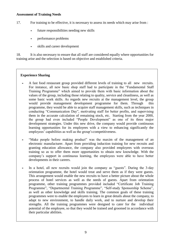#### **Assessment of Training Needs**

17. For training to be effective, it is necessary to assess its needs which may arise from :

- future responsibilities needing new skills
- performance problems
- skills and career development

18. It is also necessary to ensure that all staff are considered equally where opportunities for training arise and the selection is based on objective and established criteria.

- A fast food restaurant group provided different levels of training to all new recruits. For instance, all new basic shop staff had to participate in the "Fundamental Staff Training Programme" which aimed to provide them with basic information about the values of the group, including those relating to quality, service and cleanliness, as well as some basic work skills. As regards new recruits at the management level, the group would provide management development programme for them. Through this programme, they would be able to acquire staff management skills, such as techniques in conducting "Communication Day", motivating staff for better profits, and supervising them in the accurate calculation of remaining stock, etc. Starting from the year 2000, the group had even included "People Development" as one of its three major development strategies. Under this new drive, the company would provide continuous learning opportunities for its employees with a view to enhancing significantly the employees' capabilities as well as the group's competitiveness.
- "Make people before making product" was the maxim of the management of an electronic manufacturer. Apart from providing induction training for new recruits and granting education allowance, the company also provided employees with overseas training so as to offer them more opportunities to obtain new knowledge. With the company's support in continuous learning, the employees were able to have better developments in their careers.
- In a hotel, all new recruits would join the company as "guests". During the 3-day orientation programme, the hotel would treat and serve them as if they were guests. This arrangement would enable the new recruits to have a better picture about the whole process of hotel services as well as the needs of guests. Apart from orientation programme, other training programmes provided included "Certificate Job Training Programme", "Departmental Training Programme", "Self-study Sponsorship Scheme", as well as other knowledge and skills training. The common goals of these training programmes were to enable the employees to learn in great details about the company, to adapt to new environment, to handle daily work, and to nurture and develop their strengths. All the training programmes were designed to cater for the individual potential of the employee, so that they would be trained and groomed in accordance with their particular abilities.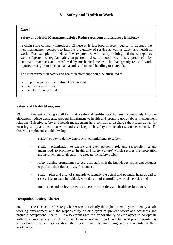#### **Safety and Health Management Helps Reduce Accident and Improve Efficiency**

A chain store company introduced Chinese-style fast food in recent years. It adopted the new management concepts to improve the quality of service as well as safety and health at work. For example, all their staff were provided with safety training and the workplaces were subjected to regular safety inspection. Also, the food was mostly produced by automatic machines and transferred by mechanical means. This had greatly reduced work injuries arising from mechanical hazards and manual handling of materials.

The improvement in safety and health performance could be attributed to:

- top management commitment and support
- safe system of work
- safety training of staff

#### **Safety and Health Management**

19. Pleasant working conditions and a safe and healthy working environment help improve efficiency, reduce accidents, prevent impairment to health and promote good labour management relations. Effective safety and health management help companies discharge their legal duties for ensuring safety and health at work and also keep their safety and health risks under control. To this end, employers should develop :

- a safety policy to define employers' commitments to safety;
- a safety organisation to ensure that each person's role and responsibilities are understood, to promote a 'health and safety culture' which secures the motivation and involvement of all staff to execute the safety policy;
- safety training programmes to equip all staff with the knowledge, skills and attitudes to perform their duties in a safe manner;
- a safety plan and a set of standards to identify the actual and potential hazards and to assess risks to each individual, with the aim of controlling workplace risks; and
- monitoring and review systems to measure the safety and health performance.

#### **Occupational Safety Charter**

20. The Occupational Safety Charter sets out clearly the rights of employees to enjoy a safe working environment and the responsibility of employers to prevent workplace accidents and promote occupational health. It also emphasizes the responsibility of employees to co-operate with their employers to comply with safety measures and report potential workplace hazards. By subscribing to it, employers show their commitment to improving safety standards in their workplaces.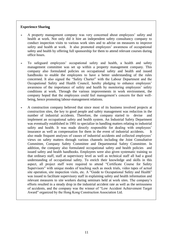- A property management company was very concerned about employees' safety and health at work. Not only did it hire an independent safety consultancy company to conduct inspection visits to various work sites and to advise on measures to improve safety and health at work. It also promoted employees' awareness of occupational safety and health by offering full sponsorship for them to attend relevant courses during office hours.
- To safeguard employees' occupational safety and health, a health and safety management committee was set up within a property management company. This company also formulated policies on occupational safety and health and issued handbooks to enable the employees to have a better understanding of the rules concerned. It also signed the "Safety Charter" with the Labour Department and the Occupational Safety and Health Council, hereby pledging to enhance employees' awareness of the importance of safety and health by monitoring employees' safety conditions at work. Through the various improvements in work environment, the company hoped that the employees could feel management's concern for their wellbeing, hence promoting labour-management relations.
- A construction company believed that since most of its business involved projects at construction sites, the key to good people and safety management was reduction in the number of industrial accidents. Therefore, the company started to devise and implement an occupational safety and health system. An Industrial Safety Department was eventually established in 1991 to specialize in handling matters relating to industrial safety and health. It was made directly responsible for dealing with employees' insurance as well as compensation for them in the event of industrial accidents. It also made frequent analyses of causes of industrial accidents and collected employees' views on safety matters through various channels including the Joint Consultative Committee, Company Safety Committee and Departmental Safety Committee. In addition, the company also formulated occupational safety and health policies and issued safety and health handbooks. Employees were also given systematic training so that ordinary staff, staff at supervisory level as well as technical staff all had a good understanding of occupational safety. To enrich their knowledge and skills in this aspect, all project staff were required to attend "Certificate Course for Safety Supervisors" with unique modes of teaching such as mock trials, video tapes of actual site operation, site inspection visits, etc. A "Guide to Occupational Safety and Health" was issued to facilitate supervisory staff in explaining safety and health information and relevant measures to site workers during seminars held at work sites. The company's efforts resulted in a steady drop in the industrial accident rate as well as the seriousness of accidents, and the company was the winner of "Low Accident Achievement Target Award" organized by the Hong Kong Construction Association Ltd.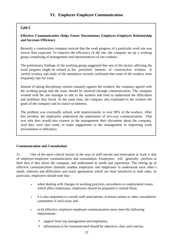## **Effective Communication Helps Foster Harmonious Employer-Employee Relationship and Increase Efficiency**

Recently a construction company noticed that the work progress of a particular work site was slower than expected. To improve the efficiency of the site, the company set up a working group comprising of management and representatives of site workers.

The preliminary findings of the working group suggested that one of the factors affecting the work progress might be related to the persistent lateness of construction workers. A careful scrutiny and study of the attendance records confirmed that some of the workers were frequently late for work.

Instead of taking disciplinary actions instantly against the workers, the company agreed with the working group that the issue should be resolved through communication. The company worked with the site manager to talk to the workers and tried to understand the difficulties and problems they faced. At the same time, the company also explained to the workers the goals of the company and its stance on lateness.

The problem was eventually solved, with improvements in over 90% of the workers. After this incident, the employees understood the importance of two-way communication. That was why they would also express to the management their discontent about the company. And they were also ready to make suggestions to the management in improving work environment or efficiency.

#### **Communication and Consultation**

21. One of the most critical factors in the area of staff morale and motivation at work is that of employer-employee communication and consultation. Employees will generally perform at their best if they know the company, and understand its needs and aspirations. The setting up of effective communication channels enables employers and employees to understand each other's needs, interests and difficulties and reach agreements which are most beneficial to both sides. In particular, employers should note that :

- when dealing with changes in working practices, procedures or employment issues which affect employees, employers should be prepared to consult them;
- it is also important to consult staff associations, in-house unions or other consultative committees if such exist; and
- to be effective, employer-employee communication must meet the following requirements :
	- + support from top management and employees;
	- + information to be communicated should be objective, clear and concise;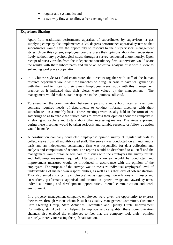- regular and systematic; and
- + a two-way flow as to allow a free exchange of ideas.

- Apart from traditional performance appraisal of subordinates by supervisors, a gas supplying company also implemented a 360 degrees performance appraisal system so that subordinates would have the opportunity to respond to their supervisors' management styles. Under this system, employees could express their opinions about their supervisors freely without any psychological stress through a survey conducted anonymously. Upon receipt of survey results from the independent consultancy firm, supervisors would share the results with their subordinates and made an objective analysis of it with a view to enhancing workplace cooperation.
- In a Chinese-style fast-food chain store, the directors together with staff of the human resource department would visit the branches on a regular basis to have tea gatherings with them and to listen to their views. Employees were happy with this management practice as it indicated that their views were valued by the management. The management would make suitable response to the opinions collected.
- To strengthen the communication between supervisors and subordinates, an electronic company required heads of departments to conduct informal meetings with their subordinates on a monthly basis. These meetings were usually held in the form of tea gatherings so as to enable the subordinates to express their opinion about the company in a relaxing atmosphere and to talk about other interesting matters. The views expressed during these meetings would be taken seriously and suitable response or follow-up action would be made.
- A construction company conducted employees' opinion survey at regular intervals to collect views from all monthly-rated staff. The survey was conducted on an anonymous basis and an independent consultancy firm was responsible for data collection and analysis and compilation of reports. The reports would be distributed to all staff and the management would organize seminars to discuss with the employees the survey results and follow-up measures required. Afterwards a review would be conducted and improvement measures would be introduced in accordance with the opinion of the employees. The purpose of the surveys was to measure individual employees' level of understanding of his/her own responsibilities, as well as his /her level of job satisfaction. They also aimed at collecting employees' views regarding their relations with bosses and co-workers, performance appraisal and promotion system, wage and award systems, individual training and development opportunities, internal communication and work environment.
- In a property management company, employees were given the opportunity to express their views through various channels such as Quality Management Committee, Customer Care Steering Group, Staff Activities Committee and Quality Circle Improvement Committee, etc. Apart from helping to improve service quality, these communication channels also enabled the employees to feel that the company took their opinion seriously, thereby increasing their job satisfaction.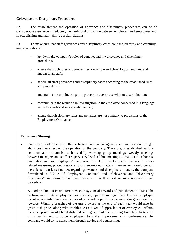#### **Grievance and Disciplinary Procedures**

22. The establishment and operation of grievance and disciplinary procedures can be of considerable assistance in reducing the likelihood of friction between employers and employees and in establishing and maintaining cordial relations.

23. To make sure that staff grievances and disciplinary cases are handled fairly and carefully, employers should :

- lay down the company's rules of conduct and the grievance and disciplinary procedures;
- ensure that such rules and procedures are simple and clear, logical and fair, and known to all staff;
- handle all staff grievances and disciplinary cases according to the established rules and procedures;
- undertake the same investigation process in every case without discrimination;
- communicate the result of an investigation to the employee concerned in a language he understands and in a speedy manner;
- ensure that disciplinary rules and penalties are not contrary to provisions of the Employment Ordinance.

- One retail trader believed that effective labour-management communication brought about positive effect on the operation of the company. Therefore, it established various communication channels, such as daily working group meetings, weekly meetings between managers and staff at supervisory level, ad hoc meetings, e-mails, notice boards, circulation memos, employees' handbook, etc. Before making any changes to workrelated measures, procedures or employment-related matters, management would consult the affected workers first. As regards grievances and disciplinary matters, the company formulated a "Code of Employees Conduct" and "Grievance and Disciplinary Procedures" and ensured that employees were well versed in such regulations and procedures.
- A food production chain store devised a system of reward and punishment to assess the performance of its employees. For instance, apart from organizing the best employee award on a regular basis, employees of outstanding performance were also given practical rewards. Winning branches of the grand award at the end of each year would also be given cash prizes along with trophies. As a token of appreciation of employees' efforts, the cash prizes would be distributed among staff of the winning branches. Instead of using punishment to force employees to make improvements in performance, the company would try to assist them through advice and counselling.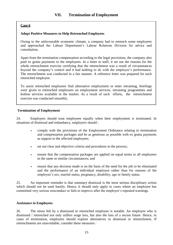#### **Adopt Positive Measures to Help Retrenched Employees**

Owing to the unfavourable economic climate, a company had to retrench some employees and approached the Labour Department's Labour Relations Division for advice and consultation.

Apart from the termination compensation according to the legal provisions, the company also paid ex gratia payments to the employees. In a letter to staff, it set out the reasons for the whole retrenchment exercise certifying that the retrenchment was a result of circumstances beyond the company's control and it had nothing to do with the employee's performance. The retrenchment was conducted in a fair manner. A reference letter was prepared for each retrenched employee.

To assist retrenched employees find alternative employment or enter retraining, briefings were given to retrenched employees on employment services, retraining programmes and hotline services available in the market. As a result of such efforts, the retrenchment exercise was conducted smoothly.

#### **Termination of Employment**

24. Employers should treat employees equally when their employment is terminated. In situations of dismissal and redundancy, employers should :

- comply with the provisions of the Employment Ordinance relating to termination and compensation packages and be as generous as possible with ex gratia payments as support to the affected employees;
- set out clear and objective criteria and procedures in the process;
- ensure that the compensation packages are applied on equal terms to all employees in the same or similar circumstances; and
- ensure that any decision made is on the basis of the need for the job to be eliminated and the performance of an individual employee rather than for reasons of the employee's sex, marital status, pregnancy, disability, age or family status.

25. An important reminder is that summary dismissal is the most serious disciplinary action which should not be used hastily. Hence, it should only apply to cases where an employee has committed very serious misconduct or fails to improve after the employer's repeated warnings.

#### **Assistance to Employees**

26. The stress felt by a dismissed or retrenched employee is notable. An employee who is dismissed / retrenched not only suffers wage loss, but also the loss of a secure future. Hence, in cases of termination, employers should explore alternatives to dismissal or retrenchment. If retrenchments are unavoidable, consider these measures :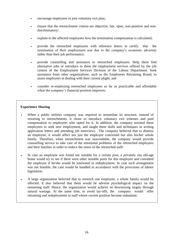- encourage employees to join voluntary exit plan;
- ensure that the retrenchment criteria are objective, fair, open, non-punitive and nondiscriminatory;
- explain to the affected employees how the termination compensation is calculated;
- provide the retrenched employees with reference letters to certify that the termination of their employment was due to the company's economic adversity rather than their job performance;
- provide counselling and assistance to retrenched employees. Help them find alternative jobs or introduce to them the employment services offered by the job centres of the Employment Services Division of the Labour Department. Seek assistance from other organizations, such as the Employees Retraining Board, to assist employees in dealing with their current plight; and
- consider re-employing retrenched employees as far as practicable and affordable when the company's financial position improves.

- When a public utilities company was required to streamline its structure, instead of resorting to retrenchments, it chose to introduce voluntary exit schemes and paid compensation to employees who opted for it. In addition, the company assisted these employees to seek new employment, and taught them skills and techniques in writing application letters and attending job interviews. The company believed that to dismiss an employee, it would affect not just the employee concerned but also his/her whole family. Therefore, when retrenchment was unavoidable, the company would provide counselling service to take care of the emotional problems of the retrenched employees and their families in order to reduce the stress of the retrenched staff.
- In case an employee was found not suitable for a certain post, a privately run old-age home would try to see if there were other suitable posts for this employee and consulted the employee if he/she would be interested in redeployment. In case such arrangement was not feasible, the case would be handled in accordance with the provisions of labour legislation.
- A large organization believed that to retrench one employee, a whole family would be affected. It also believed that there would be adverse psychological impact on the remaining staff. Hence, the organization would achieve its downsizing targets through natural wastage. At the same time, to avoid lay-offs, the company would offer retraining and redeployment to staff whose current position became redundant.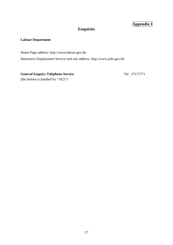# **Appendix I**

# **Enquiries**

### **Labour Department**

Home Page address: [http://www.labour.gov.hk](http://www.labour.gov.hk/)

Interactive Employment Service web site addres[s: http://www.jobs.gov.hk](http://www.jobs.gov.hk/)

**General Enquiry Telephone Service** Tel: 27171771 (the hotline is handled by "1823")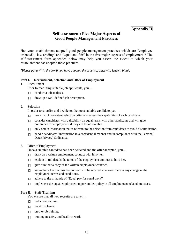## **Appendix II**

## **Self-assessment: Five Major Aspects of Good People Management Practices**

Has your establishment adopted good people management practices which are "employee oriented", "law abiding" and "equal and fair" in the five major aspects of employment ? The self-assessment form appended below may help you assess the extent to which your establishment has adopted these practices.

\**Please put a*  $\checkmark$  *in the box if you have adopted the practice, otherwise leave it blank.* 

#### **Part I. Recruitment, Selection and Offer of Employment**

#### 1. Recruitment

Prior to recruiting suitable job applicants, you…

- $\Box$  conduct a job analysis.
- $\Box$  draw up a well-defined job description.
- 2. Selection

In order to shortlist and decide on the most suitable candidate, you…

- 口 use a list of consistent selection criteria to assess the capabilities of each candidate.
- $\Box$  consider candidates with a disability on equal terms with other applicants and will give preference for employment if they are found suitable.
- $\Box$  only obtain information that is relevant to the selection from candidates to avoid discrimination.
- $\Box$  handle candidates' information in a confidential manner and in compliance with the Personal Data (Privacy) Ordinance.

#### 3. Offer of Employment

Once a suitable candidate has been selected and the offer accepted, you…

- $\Box$  draw up a written employment contract with him/ her.
- $\Box$  explain in full details the terms of the employment contract to him/ her.
- $\Box$  give him/ her a copy of the written employment contract.
- $\Box$  assure him/ her that his/ her consent will be secured whenever there is any change in the employment terms and conditions.
- 口 adhere to the principle of "Equal pay for equal work".
- $\Box$  implement the equal employment opportunities policy in all employment-related practices.

#### **Part II. Staff Training**

You ensure that all new recruits are given…

- 口 induction training.
- □ mentor scheme.
- 口 on-the-job training.
- 口 training in safety and health at work.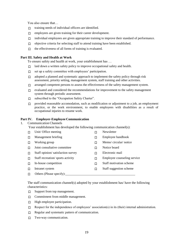You also ensure that…

- 口 training needs of individual officers are identified.
- 口 employees are given training for their career development.
- $\Box$  individual employees are given appropriate training to improve their standard of performance.
- 口 objective criteria for selecting staff to attend training have been established.
- $\Box$  the effectiveness of all forms of training is evaluated.

#### **Part III. Safety and Health at Work**

To ensure safety and health at work, your establishment has …

- □ laid down a written safety policy to improve occupational safety and health.
- 口 set up a safety committee with employees' participation.
- $\Box$  adopted a planned and systematic approach to implement the safety policy through risk assessment, priority setting, management system, staff training and other activities.
- 口 arranged competent persons to assess the effectiveness of the safety management system.
- $\Box$  evaluated and considered the recommendations for improvement to the safety management system through periodic assessment.
- 口 subscribed to the "Occupation Safety Charter".
- $\Box$  provided reasonable accomodation, such as modification or adjustment to a job, an employment practice, or the work environment, to enable employees with disabilities as a result of occupational injuries to resume work.

#### **Part IV. Employer-Employee Communication**

1. Communication Channels

Your establishment has developed the following communication channel(s):

- 口 Unit/ Office meeting 口 Newsletter 口 Management briefing 口 Employee handbook 口 Working group 口 Memo/ circular/ notice 口 Joint consultative committee 口 Notice board  $\Box$  Staff opinion/ satisfaction survey  $\Box$  Electronic mail  $\Box$  Staff recreation/ sports activity  $\Box$  Employee counseling service 口 In-house competition 口 Staff motivation scheme 口 Intranet system 口 Staff suggestion scheme
- $\Box$  Others (Please specify):

The staff communication channel(s) adopted by your establishment has/ have the following characteristics:

- □ Support from top management.
- 口 Commitment from middle management.
- 口 High employee participation.
- $\Box$  Respect for the independence of employees' association(s) in its (their) internal administration.
- 口 Regular and systematic pattern of communication.
- 口 Two-way communication.